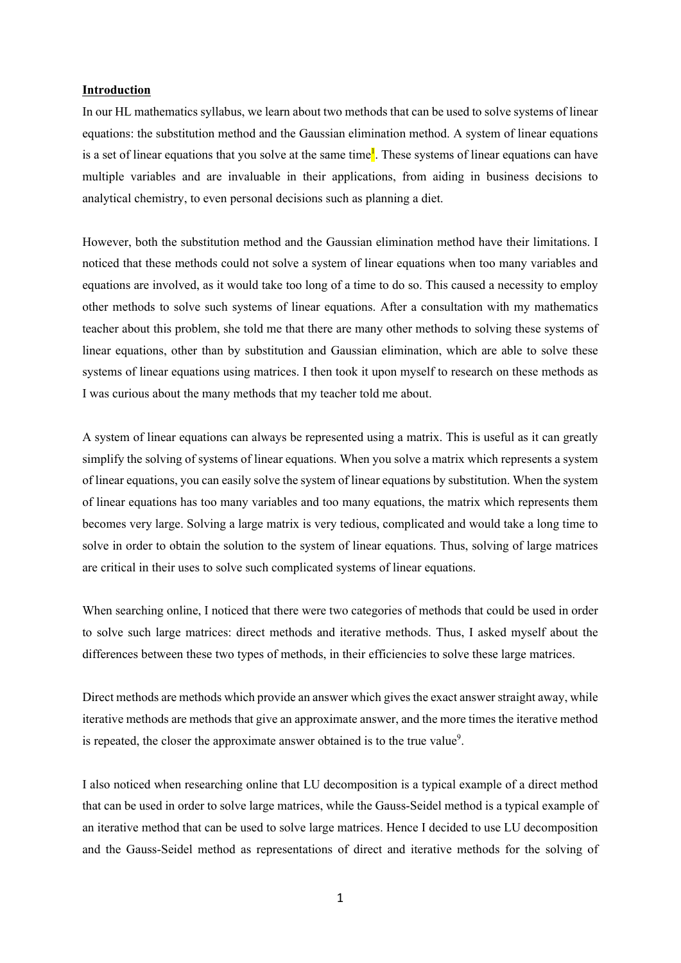## **Introduction**

In our HL mathematics syllabus, we learn about two methods that can be used to solve systems of linear equations: the substitution method and the Gaussian elimination method. A system of linear equations is a set of linear equations that you solve at the same time<sup>1</sup>. These systems of linear equations can have multiple variables and are invaluable in their applications, from aiding in business decisions to analytical chemistry, to even personal decisions such as planning a diet.

However, both the substitution method and the Gaussian elimination method have their limitations. I noticed that these methods could not solve a system of linear equations when too many variables and equations are involved, as it would take too long of a time to do so. This caused a necessity to employ other methods to solve such systems of linear equations. After a consultation with my mathematics teacher about this problem, she told me that there are many other methods to solving these systems of linear equations, other than by substitution and Gaussian elimination, which are able to solve these systems of linear equations using matrices. I then took it upon myself to research on these methods as I was curious about the many methods that my teacher told me about.

A system of linear equations can always be represented using a matrix. This is useful as it can greatly simplify the solving of systems of linear equations. When you solve a matrix which represents a system of linear equations, you can easily solve the system of linear equations by substitution. When the system of linear equations has too many variables and too many equations, the matrix which represents them becomes very large. Solving a large matrix is very tedious, complicated and would take a long time to solve in order to obtain the solution to the system of linear equations. Thus, solving of large matrices are critical in their uses to solve such complicated systems of linear equations.

When searching online, I noticed that there were two categories of methods that could be used in order to solve such large matrices: direct methods and iterative methods. Thus, I asked myself about the differences between these two types of methods, in their efficiencies to solve these large matrices.

Direct methods are methods which provide an answer which gives the exact answer straight away, while iterative methods are methods that give an approximate answer, and the more times the iterative method is repeated, the closer the approximate answer obtained is to the true value<sup>9</sup>.

I also noticed when researching online that LU decomposition is a typical example of a direct method that can be used in order to solve large matrices, while the Gauss-Seidel method is a typical example of an iterative method that can be used to solve large matrices. Hence I decided to use LU decomposition and the Gauss-Seidel method as representations of direct and iterative methods for the solving of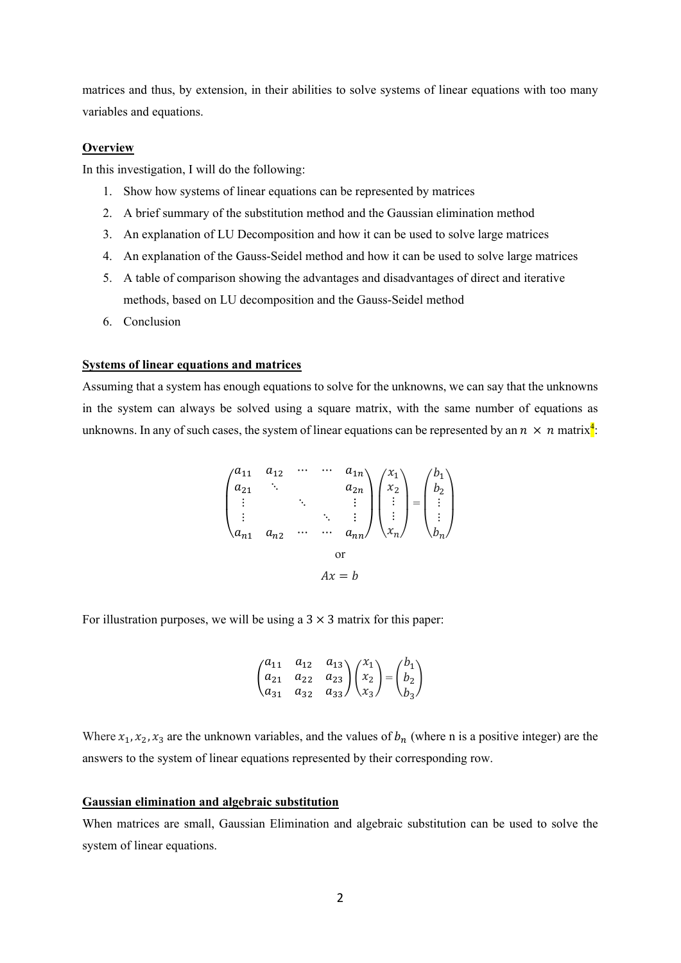matrices and thus, by extension, in their abilities to solve systems of linear equations with too many variables and equations.

## **Overview**

In this investigation, I will do the following:

- 1. Show how systems of linear equations can be represented by matrices
- 2. A brief summary of the substitution method and the Gaussian elimination method
- 3. An explanation of LU Decomposition and how it can be used to solve large matrices
- 4. An explanation of the Gauss-Seidel method and how it can be used to solve large matrices
- 5. A table of comparison showing the advantages and disadvantages of direct and iterative methods, based on LU decomposition and the Gauss-Seidel method
- 6. Conclusion

## **Systems of linear equations and matrices**

Assuming that a system has enough equations to solve for the unknowns, we can say that the unknowns in the system can always be solved using a square matrix, with the same number of equations as unknowns. In any of such cases, the system of linear equations can be represented by an  $n \times n$  matrix<sup>4</sup>:

$$
\begin{pmatrix}\na_{11} & a_{12} & \cdots & \cdots & a_{1n} \\
a_{21} & \ddots & & & \\
\vdots & & \ddots & & \vdots \\
\vdots & & & \ddots & \vdots \\
a_{n1} & a_{n2} & \cdots & \cdots & a_{nn}\n\end{pmatrix}\n\begin{pmatrix}\nx_1 \\
x_2 \\
\vdots \\
x_n\n\end{pmatrix}\n=\n\begin{pmatrix}\nb_1 \\
b_2 \\
\vdots \\
b_n\n\end{pmatrix}
$$
\nor\n
$$
Ax = b
$$

For illustration purposes, we will be using a  $3 \times 3$  matrix for this paper:

$$
\begin{pmatrix} a_{11} & a_{12} & a_{13} \\ a_{21} & a_{22} & a_{23} \\ a_{31} & a_{32} & a_{33} \end{pmatrix} \begin{pmatrix} x_1 \\ x_2 \\ x_3 \end{pmatrix} = \begin{pmatrix} b_1 \\ b_2 \\ b_3 \end{pmatrix}
$$

Where  $x_1, x_2, x_3$  are the unknown variables, and the values of  $b_n$  (where n is a positive integer) are the answers to the system of linear equations represented by their corresponding row.

## **Gaussian elimination and algebraic substitution**

When matrices are small, Gaussian Elimination and algebraic substitution can be used to solve the system of linear equations.